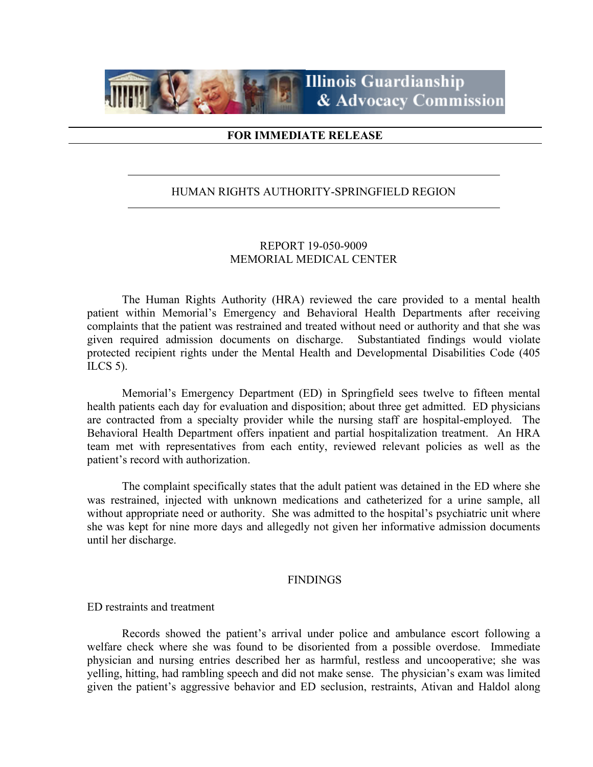

#### **FOR IMMEDIATE RELEASE**

#### HUMAN RIGHTS AUTHORITY-SPRINGFIELD REGION

### REPORT 19-050-9009 MEMORIAL MEDICAL CENTER

The Human Rights Authority (HRA) reviewed the care provided to a mental health patient within Memorial's Emergency and Behavioral Health Departments after receiving complaints that the patient was restrained and treated without need or authority and that she was given required admission documents on discharge. Substantiated findings would violate protected recipient rights under the Mental Health and Developmental Disabilities Code (405 ILCS 5).

Memorial's Emergency Department (ED) in Springfield sees twelve to fifteen mental health patients each day for evaluation and disposition; about three get admitted. ED physicians are contracted from a specialty provider while the nursing staff are hospital-employed. The Behavioral Health Department offers inpatient and partial hospitalization treatment. An HRA team met with representatives from each entity, reviewed relevant policies as well as the patient's record with authorization.

The complaint specifically states that the adult patient was detained in the ED where she was restrained, injected with unknown medications and catheterized for a urine sample, all without appropriate need or authority. She was admitted to the hospital's psychiatric unit where she was kept for nine more days and allegedly not given her informative admission documents until her discharge.

#### FINDINGS

ED restraints and treatment

Records showed the patient's arrival under police and ambulance escort following a welfare check where she was found to be disoriented from a possible overdose. Immediate physician and nursing entries described her as harmful, restless and uncooperative; she was yelling, hitting, had rambling speech and did not make sense. The physician's exam was limited given the patient's aggressive behavior and ED seclusion, restraints, Ativan and Haldol along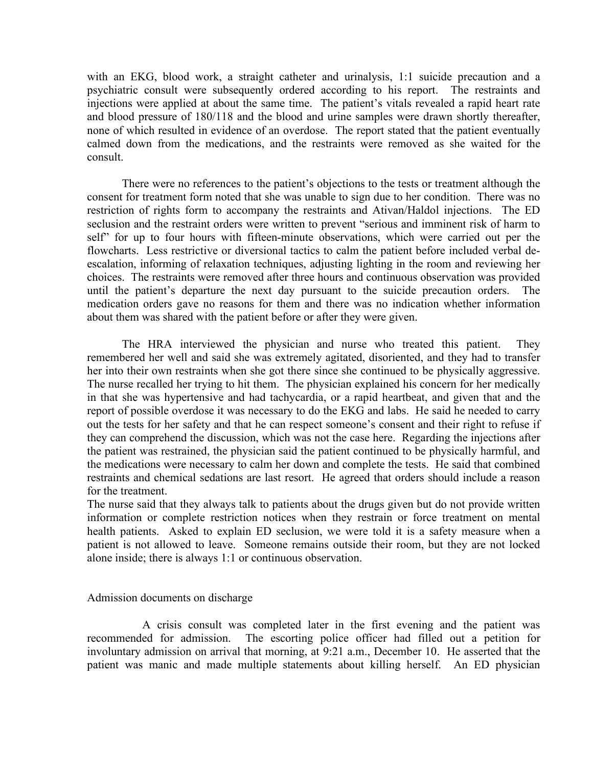with an EKG, blood work, a straight catheter and urinalysis, 1:1 suicide precaution and a psychiatric consult were subsequently ordered according to his report. The restraints and injections were applied at about the same time. The patient's vitals revealed a rapid heart rate and blood pressure of 180/118 and the blood and urine samples were drawn shortly thereafter, none of which resulted in evidence of an overdose. The report stated that the patient eventually calmed down from the medications, and the restraints were removed as she waited for the consult.

There were no references to the patient's objections to the tests or treatment although the consent for treatment form noted that she was unable to sign due to her condition. There was no restriction of rights form to accompany the restraints and Ativan/Haldol injections. The ED seclusion and the restraint orders were written to prevent "serious and imminent risk of harm to self" for up to four hours with fifteen-minute observations, which were carried out per the flowcharts. Less restrictive or diversional tactics to calm the patient before included verbal deescalation, informing of relaxation techniques, adjusting lighting in the room and reviewing her choices. The restraints were removed after three hours and continuous observation was provided until the patient's departure the next day pursuant to the suicide precaution orders. The medication orders gave no reasons for them and there was no indication whether information about them was shared with the patient before or after they were given.

The HRA interviewed the physician and nurse who treated this patient. They remembered her well and said she was extremely agitated, disoriented, and they had to transfer her into their own restraints when she got there since she continued to be physically aggressive. The nurse recalled her trying to hit them. The physician explained his concern for her medically in that she was hypertensive and had tachycardia, or a rapid heartbeat, and given that and the report of possible overdose it was necessary to do the EKG and labs. He said he needed to carry out the tests for her safety and that he can respect someone's consent and their right to refuse if they can comprehend the discussion, which was not the case here. Regarding the injections after the patient was restrained, the physician said the patient continued to be physically harmful, and the medications were necessary to calm her down and complete the tests. He said that combined restraints and chemical sedations are last resort. He agreed that orders should include a reason for the treatment.

The nurse said that they always talk to patients about the drugs given but do not provide written information or complete restriction notices when they restrain or force treatment on mental health patients. Asked to explain ED seclusion, we were told it is a safety measure when a patient is not allowed to leave. Someone remains outside their room, but they are not locked alone inside; there is always 1:1 or continuous observation.

#### Admission documents on discharge

 A crisis consult was completed later in the first evening and the patient was recommended for admission. The escorting police officer had filled out a petition for involuntary admission on arrival that morning, at 9:21 a.m., December 10. He asserted that the patient was manic and made multiple statements about killing herself. An ED physician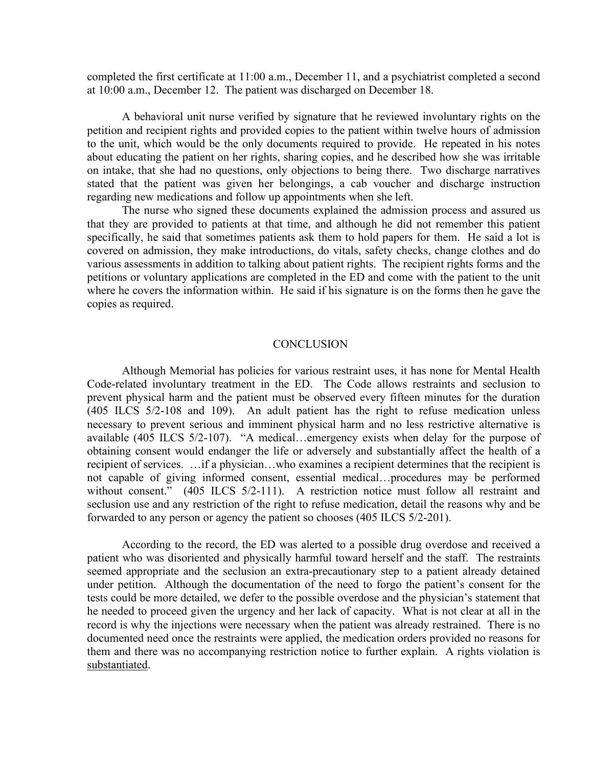completed the first certificate at 11:00 a.m., December 11, and a psychiatrist completed a second at 10:00 a.m., December 12. The patient was discharged on December 18.

A behavioral unit nurse verified by signature that he reviewed involuntary rights on the petition and recipient rights and provided copies to the patient within twelve hours of admission to the unit, which would be the only documents required to provide. He repeated in his notes about educating the patient on her rights, sharing copies, and he described how she was irritable on intake, that she had no questions, only objections to being there. Two discharge narratives stated that the patient was given her belongings, a cab voucher and discharge instruction regarding new medications and follow up appointments when she left.

The nurse who signed these documents explained the admission process and assured us that they are provided to patients at that time, and although he did not remember this patient specifically, he said that sometimes patients ask them to hold papers for them. He said a lot is covered on admission, they make introductions, do vitals, safety checks, change clothes and do various assessments in addition to talking about patient rights. The recipient rights forms and the petitions or voluntary applications are completed in the ED and come with the patient to the unit where he covers the information within. He said if his signature is on the forms then he gave the copies as required.

#### **CONCLUSION**

Although Memorial has policies for various restraint uses, it has none for Mental Health Code-related involuntary treatment in the ED. The Code allows restraints and seclusion to prevent physical harm and the patient must be observed every fifteen minutes for the duration (405 ILCS 5/2-108 and 109). An adult patient has the right to refuse medication unless necessary to prevent serious and imminent physical harm and no less restrictive alternative is available (405 ILCS 5/2-107). "A medical…emergency exists when delay for the purpose of obtaining consent would endanger the life or adversely and substantially affect the health of a recipient of services. …if a physician…who examines a recipient determines that the recipient is not capable of giving informed consent, essential medical…procedures may be performed without consent." (405 ILCS 5/2-111). A restriction notice must follow all restraint and seclusion use and any restriction of the right to refuse medication, detail the reasons why and be forwarded to any person or agency the patient so chooses (405 ILCS 5/2-201).

According to the record, the ED was alerted to a possible drug overdose and received a patient who was disoriented and physically harmful toward herself and the staff. The restraints seemed appropriate and the seclusion an extra-precautionary step to a patient already detained under petition. Although the documentation of the need to forgo the patient's consent for the tests could be more detailed, we defer to the possible overdose and the physician's statement that he needed to proceed given the urgency and her lack of capacity. What is not clear at all in the record is why the injections were necessary when the patient was already restrained. There is no documented need once the restraints were applied, the medication orders provided no reasons for them and there was no accompanying restriction notice to further explain. A rights violation is substantiated.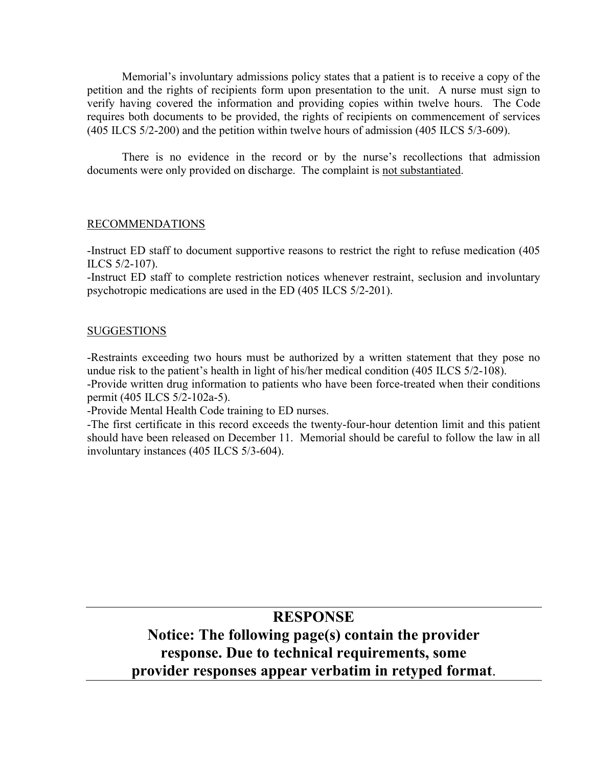Memorial's involuntary admissions policy states that a patient is to receive a copy of the petition and the rights of recipients form upon presentation to the unit. A nurse must sign to verify having covered the information and providing copies within twelve hours. The Code requires both documents to be provided, the rights of recipients on commencement of services (405 ILCS 5/2-200) and the petition within twelve hours of admission (405 ILCS 5/3-609).

There is no evidence in the record or by the nurse's recollections that admission documents were only provided on discharge. The complaint is not substantiated.

## RECOMMENDATIONS

-Instruct ED staff to document supportive reasons to restrict the right to refuse medication (405 ILCS 5/2-107).

-Instruct ED staff to complete restriction notices whenever restraint, seclusion and involuntary psychotropic medications are used in the ED (405 ILCS 5/2-201).

## **SUGGESTIONS**

-Restraints exceeding two hours must be authorized by a written statement that they pose no undue risk to the patient's health in light of his/her medical condition (405 ILCS 5/2-108).

-Provide written drug information to patients who have been force-treated when their conditions permit (405 ILCS 5/2-102a-5).

-Provide Mental Health Code training to ED nurses.

-The first certificate in this record exceeds the twenty-four-hour detention limit and this patient should have been released on December 11. Memorial should be careful to follow the law in all involuntary instances (405 ILCS 5/3-604).

## **RESPONSE**

# **Notice: The following page(s) contain the provider response. Due to technical requirements, some provider responses appear verbatim in retyped format**.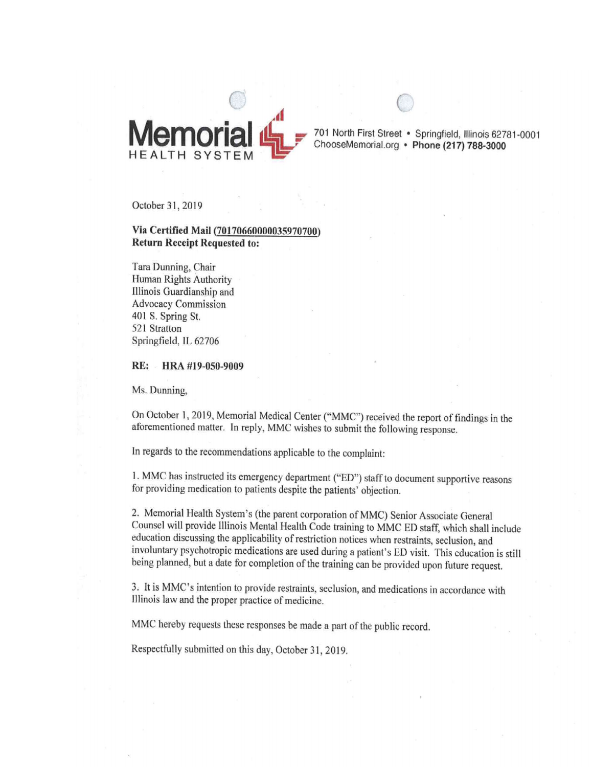

701 North First Street . Springfield, Illinois 62781-0001 ChooseMemorial.org · Phone (217) 788-3000

October 31, 2019

#### Via Certified Mail (70170660000035970700) **Return Receipt Requested to:**

Tara Dunning, Chair Human Rights Authority Illinois Guardianship and **Advocacy Commission** 401 S. Spring St. 521 Stratton Springfield, IL 62706

RE: HRA #19-050-9009

Ms. Dunning,

On October 1, 2019, Memorial Medical Center ("MMC") received the report of findings in the aforementioned matter. In reply, MMC wishes to submit the following response.

In regards to the recommendations applicable to the complaint:

1. MMC has instructed its emergency department ("ED") staff to document supportive reasons for providing medication to patients despite the patients' objection.

2. Memorial Health System's (the parent corporation of MMC) Senior Associate General Counsel will provide Illinois Mental Health Code training to MMC ED staff, which shall include education discussing the applicability of restriction notices when restraints, seclusion, and involuntary psychotropic medications are used during a patient's ED visit. This education is still being planned, but a date for completion of the training can be provided upon future request.

3. It is MMC's intention to provide restraints, seclusion, and medications in accordance with Illinois law and the proper practice of medicine.

MMC hereby requests these responses be made a part of the public record.

Respectfully submitted on this day, October 31, 2019.